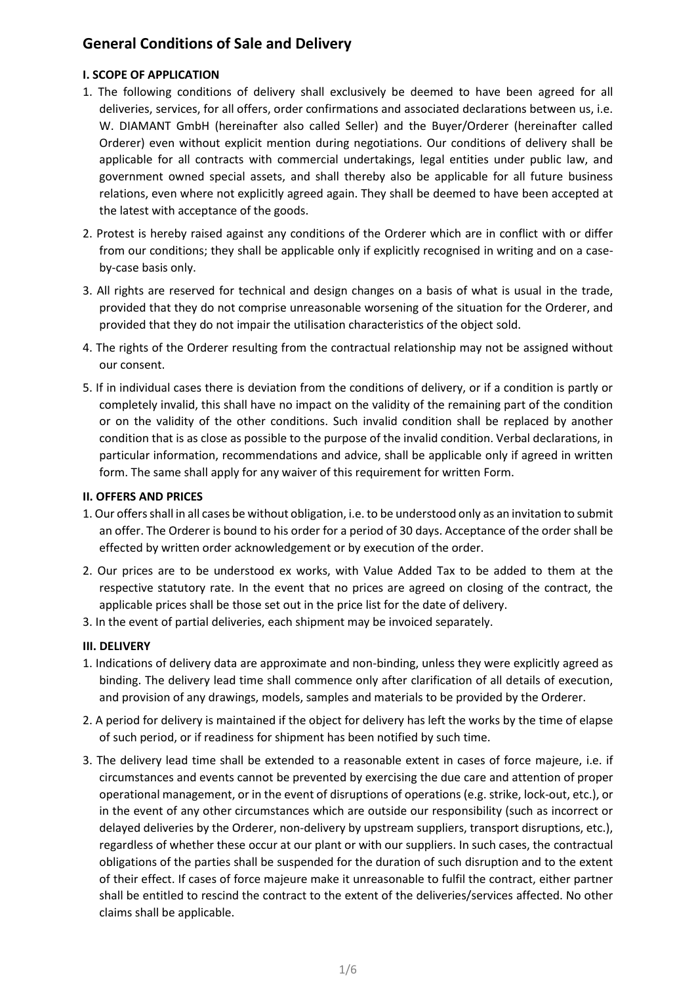# **General Conditions of Sale and Delivery**

# **I. SCOPE OF APPLICATION**

- 1. The following conditions of delivery shall exclusively be deemed to have been agreed for all deliveries, services, for all offers, order confirmations and associated declarations between us, i.e. W. DIAMANT GmbH (hereinafter also called Seller) and the Buyer/Orderer (hereinafter called Orderer) even without explicit mention during negotiations. Our conditions of delivery shall be applicable for all contracts with commercial undertakings, legal entities under public law, and government owned special assets, and shall thereby also be applicable for all future business relations, even where not explicitly agreed again. They shall be deemed to have been accepted at the latest with acceptance of the goods.
- 2. Protest is hereby raised against any conditions of the Orderer which are in conflict with or differ from our conditions; they shall be applicable only if explicitly recognised in writing and on a caseby-case basis only.
- 3. All rights are reserved for technical and design changes on a basis of what is usual in the trade, provided that they do not comprise unreasonable worsening of the situation for the Orderer, and provided that they do not impair the utilisation characteristics of the object sold.
- 4. The rights of the Orderer resulting from the contractual relationship may not be assigned without our consent.
- 5. If in individual cases there is deviation from the conditions of delivery, or if a condition is partly or completely invalid, this shall have no impact on the validity of the remaining part of the condition or on the validity of the other conditions. Such invalid condition shall be replaced by another condition that is as close as possible to the purpose of the invalid condition. Verbal declarations, in particular information, recommendations and advice, shall be applicable only if agreed in written form. The same shall apply for any waiver of this requirement for written Form.

# **II. OFFERS AND PRICES**

- 1. Our offers shall in all cases be without obligation, i.e. to be understood only as an invitation to submit an offer. The Orderer is bound to his order for a period of 30 days. Acceptance of the order shall be effected by written order acknowledgement or by execution of the order.
- 2. Our prices are to be understood ex works, with Value Added Tax to be added to them at the respective statutory rate. In the event that no prices are agreed on closing of the contract, the applicable prices shall be those set out in the price list for the date of delivery.
- 3. In the event of partial deliveries, each shipment may be invoiced separately.

# **III. DELIVERY**

- 1. Indications of delivery data are approximate and non-binding, unless they were explicitly agreed as binding. The delivery lead time shall commence only after clarification of all details of execution, and provision of any drawings, models, samples and materials to be provided by the Orderer.
- 2. A period for delivery is maintained if the object for delivery has left the works by the time of elapse of such period, or if readiness for shipment has been notified by such time.
- 3. The delivery lead time shall be extended to a reasonable extent in cases of force majeure, i.e. if circumstances and events cannot be prevented by exercising the due care and attention of proper operational management, or in the event of disruptions of operations (e.g. strike, lock-out, etc.), or in the event of any other circumstances which are outside our responsibility (such as incorrect or delayed deliveries by the Orderer, non-delivery by upstream suppliers, transport disruptions, etc.), regardless of whether these occur at our plant or with our suppliers. In such cases, the contractual obligations of the parties shall be suspended for the duration of such disruption and to the extent of their effect. If cases of force majeure make it unreasonable to fulfil the contract, either partner shall be entitled to rescind the contract to the extent of the deliveries/services affected. No other claims shall be applicable.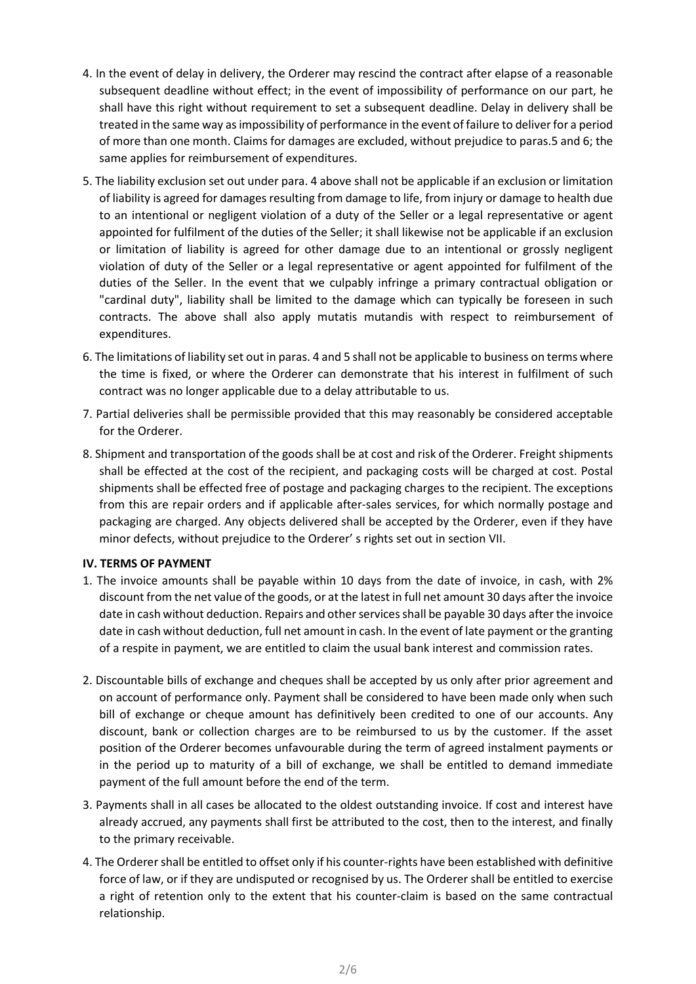- 4. In the event of delay in delivery, the Orderer may rescind the contract after elapse of a reasonable subsequent deadline without effect; in the event of impossibility of performance on our part, he shall have this right without requirement to set a subsequent deadline. Delay in delivery shall be treated in the same way as impossibility of performance in the event of failure to deliver for a period of more than one month. Claims for damages are excluded, without prejudice to paras.5 and 6; the same applies for reimbursement of expenditures.
- 5. The liability exclusion set out under para. 4 above shall not be applicable if an exclusion or limitation of liability is agreed for damages resulting from damage to life, from injury or damage to health due to an intentional or negligent violation of a duty of the Seller or a legal representative or agent appointed for fulfilment of the duties of the Seller; it shall likewise not be applicable if an exclusion or limitation of liability is agreed for other damage due to an intentional or grossly negligent violation of duty of the Seller or a legal representative or agent appointed for fulfilment of the duties of the Seller. In the event that we culpably infringe a primary contractual obligation or "cardinal duty", liability shall be limited to the damage which can typically be foreseen in such contracts. The above shall also apply mutatis mutandis with respect to reimbursement of expenditures.
- 6. The limitations of liability set out in paras. 4 and 5 shall not be applicable to business on terms where the time is fixed, or where the Orderer can demonstrate that his interest in fulfilment of such contract was no longer applicable due to a delay attributable to us.
- 7. Partial deliveries shall be permissible provided that this may reasonably be considered acceptable for the Orderer.
- 8. Shipment and transportation of the goods shall be at cost and risk of the Orderer. Freight shipments shall be effected at the cost of the recipient, and packaging costs will be charged at cost. Postal shipments shall be effected free of postage and packaging charges to the recipient. The exceptions from this are repair orders and if applicable after-sales services, for which normally postage and packaging are charged. Any objects delivered shall be accepted by the Orderer, even if they have minor defects, without prejudice to the Orderer' s rights set out in section VII.

#### **IV. TERMS OF PAYMENT**

- 1. The invoice amounts shall be payable within 10 days from the date of invoice, in cash, with 2% discount from the net value of the goods, or at the latest in full net amount 30 days after the invoice date in cash without deduction. Repairs and other services shall be payable 30 days after the invoice date in cash without deduction, full net amount in cash. In the event of late payment or the granting of a respite in payment, we are entitled to claim the usual bank interest and commission rates.
- 2. Discountable bills of exchange and cheques shall be accepted by us only after prior agreement and on account of performance only. Payment shall be considered to have been made only when such bill of exchange or cheque amount has definitively been credited to one of our accounts. Any discount, bank or collection charges are to be reimbursed to us by the customer. If the asset position of the Orderer becomes unfavourable during the term of agreed instalment payments or in the period up to maturity of a bill of exchange, we shall be entitled to demand immediate payment of the full amount before the end of the term.
- 3. Payments shall in all cases be allocated to the oldest outstanding invoice. If cost and interest have already accrued, any payments shall first be attributed to the cost, then to the interest, and finally to the primary receivable.
- 4. The Orderer shall be entitled to offset only if his counter-rights have been established with definitive force of law, or if they are undisputed or recognised by us. The Orderer shall be entitled to exercise a right of retention only to the extent that his counter-claim is based on the same contractual relationship.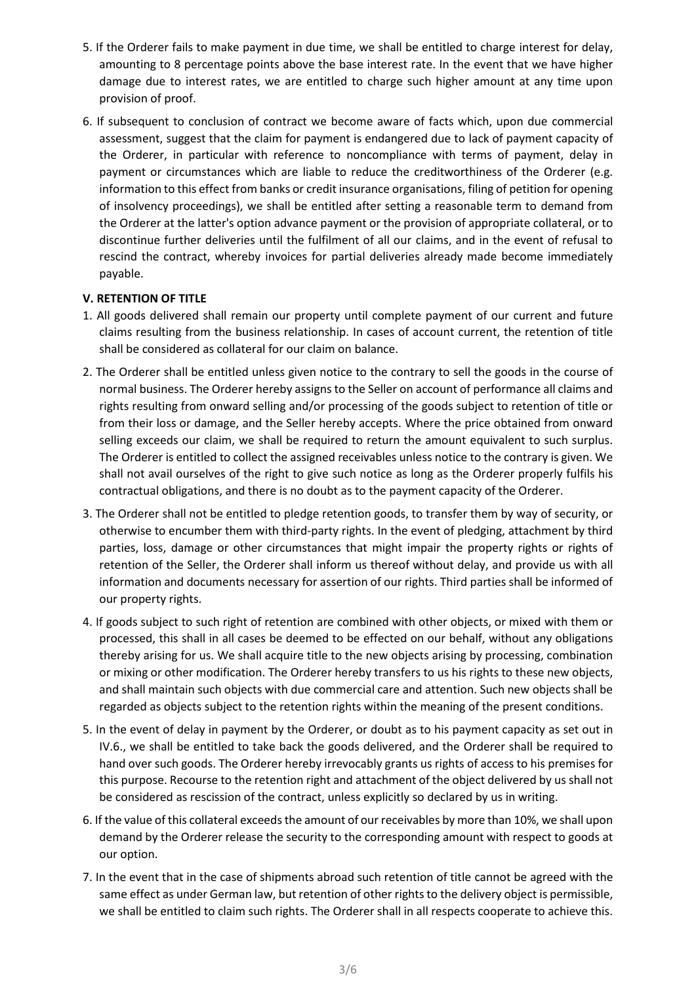- 5. If the Orderer fails to make payment in due time, we shall be entitled to charge interest for delay, amounting to 8 percentage points above the base interest rate. In the event that we have higher damage due to interest rates, we are entitled to charge such higher amount at any time upon provision of proof.
- 6. If subsequent to conclusion of contract we become aware of facts which, upon due commercial assessment, suggest that the claim for payment is endangered due to lack of payment capacity of the Orderer, in particular with reference to noncompliance with terms of payment, delay in payment or circumstances which are liable to reduce the creditworthiness of the Orderer (e.g. information to this effect from banks or credit insurance organisations, filing of petition for opening of insolvency proceedings), we shall be entitled after setting a reasonable term to demand from the Orderer at the latter's option advance payment or the provision of appropriate collateral, or to discontinue further deliveries until the fulfilment of all our claims, and in the event of refusal to rescind the contract, whereby invoices for partial deliveries already made become immediately payable.

## **V. RETENTION OF TITLE**

- 1. All goods delivered shall remain our property until complete payment of our current and future claims resulting from the business relationship. In cases of account current, the retention of title shall be considered as collateral for our claim on balance.
- 2. The Orderer shall be entitled unless given notice to the contrary to sell the goods in the course of normal business. The Orderer hereby assigns to the Seller on account of performance all claims and rights resulting from onward selling and/or processing of the goods subject to retention of title or from their loss or damage, and the Seller hereby accepts. Where the price obtained from onward selling exceeds our claim, we shall be required to return the amount equivalent to such surplus. The Orderer is entitled to collect the assigned receivables unless notice to the contrary is given. We shall not avail ourselves of the right to give such notice as long as the Orderer properly fulfils his contractual obligations, and there is no doubt as to the payment capacity of the Orderer.
- 3. The Orderer shall not be entitled to pledge retention goods, to transfer them by way of security, or otherwise to encumber them with third-party rights. In the event of pledging, attachment by third parties, loss, damage or other circumstances that might impair the property rights or rights of retention of the Seller, the Orderer shall inform us thereof without delay, and provide us with all information and documents necessary for assertion of our rights. Third parties shall be informed of our property rights.
- 4. If goods subject to such right of retention are combined with other objects, or mixed with them or processed, this shall in all cases be deemed to be effected on our behalf, without any obligations thereby arising for us. We shall acquire title to the new objects arising by processing, combination or mixing or other modification. The Orderer hereby transfers to us his rights to these new objects, and shall maintain such objects with due commercial care and attention. Such new objects shall be regarded as objects subject to the retention rights within the meaning of the present conditions.
- 5. In the event of delay in payment by the Orderer, or doubt as to his payment capacity as set out in IV.6., we shall be entitled to take back the goods delivered, and the Orderer shall be required to hand over such goods. The Orderer hereby irrevocably grants us rights of access to his premises for this purpose. Recourse to the retention right and attachment of the object delivered by us shall not be considered as rescission of the contract, unless explicitly so declared by us in writing.
- 6. If the value of this collateral exceeds the amount of our receivables by more than 10%, we shall upon demand by the Orderer release the security to the corresponding amount with respect to goods at our option.
- 7. In the event that in the case of shipments abroad such retention of title cannot be agreed with the same effect as under German law, but retention of other rights to the delivery object is permissible, we shall be entitled to claim such rights. The Orderer shall in all respects cooperate to achieve this.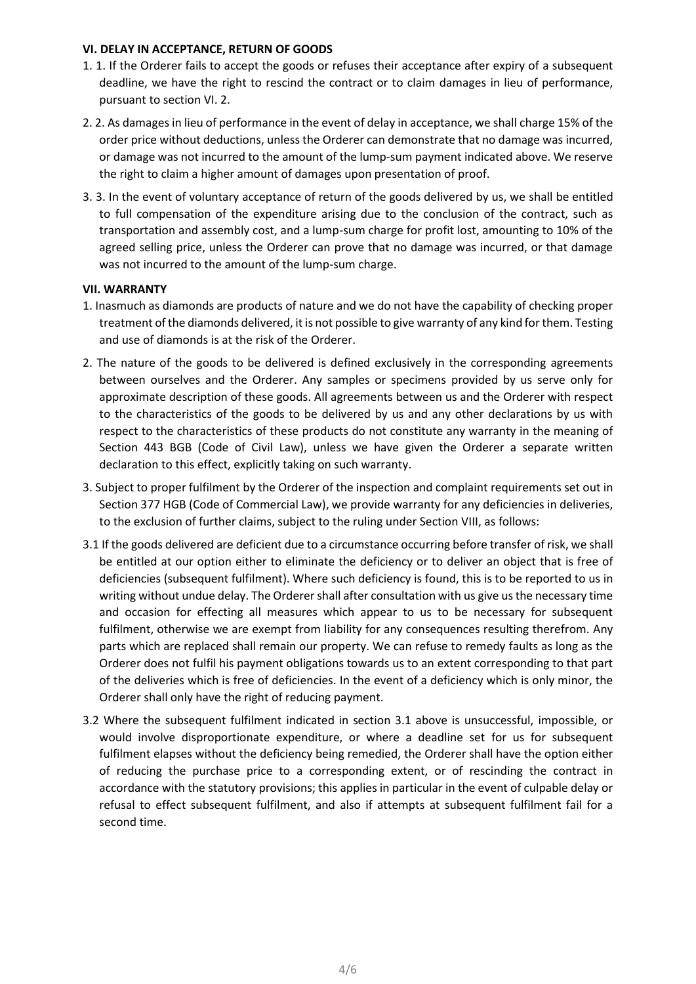#### **VI. DELAY IN ACCEPTANCE, RETURN OF GOODS**

- 1. 1. If the Orderer fails to accept the goods or refuses their acceptance after expiry of a subsequent deadline, we have the right to rescind the contract or to claim damages in lieu of performance, pursuant to section VI. 2.
- 2. 2. As damages in lieu of performance in the event of delay in acceptance, we shall charge 15% of the order price without deductions, unless the Orderer can demonstrate that no damage was incurred, or damage was not incurred to the amount of the lump-sum payment indicated above. We reserve the right to claim a higher amount of damages upon presentation of proof.
- 3. 3. In the event of voluntary acceptance of return of the goods delivered by us, we shall be entitled to full compensation of the expenditure arising due to the conclusion of the contract, such as transportation and assembly cost, and a lump-sum charge for profit lost, amounting to 10% of the agreed selling price, unless the Orderer can prove that no damage was incurred, or that damage was not incurred to the amount of the lump-sum charge.

## **VII. WARRANTY**

- 1. Inasmuch as diamonds are products of nature and we do not have the capability of checking proper treatment of the diamonds delivered, it is not possible to give warranty of any kind for them. Testing and use of diamonds is at the risk of the Orderer.
- 2. The nature of the goods to be delivered is defined exclusively in the corresponding agreements between ourselves and the Orderer. Any samples or specimens provided by us serve only for approximate description of these goods. All agreements between us and the Orderer with respect to the characteristics of the goods to be delivered by us and any other declarations by us with respect to the characteristics of these products do not constitute any warranty in the meaning of Section 443 BGB (Code of Civil Law), unless we have given the Orderer a separate written declaration to this effect, explicitly taking on such warranty.
- 3. Subject to proper fulfilment by the Orderer of the inspection and complaint requirements set out in Section 377 HGB (Code of Commercial Law), we provide warranty for any deficiencies in deliveries, to the exclusion of further claims, subject to the ruling under Section VIII, as follows:
- 3.1 If the goods delivered are deficient due to a circumstance occurring before transfer of risk, we shall be entitled at our option either to eliminate the deficiency or to deliver an object that is free of deficiencies (subsequent fulfilment). Where such deficiency is found, this is to be reported to us in writing without undue delay. The Orderer shall after consultation with us give us the necessary time and occasion for effecting all measures which appear to us to be necessary for subsequent fulfilment, otherwise we are exempt from liability for any consequences resulting therefrom. Any parts which are replaced shall remain our property. We can refuse to remedy faults as long as the Orderer does not fulfil his payment obligations towards us to an extent corresponding to that part of the deliveries which is free of deficiencies. In the event of a deficiency which is only minor, the Orderer shall only have the right of reducing payment.
- 3.2 Where the subsequent fulfilment indicated in section 3.1 above is unsuccessful, impossible, or would involve disproportionate expenditure, or where a deadline set for us for subsequent fulfilment elapses without the deficiency being remedied, the Orderer shall have the option either of reducing the purchase price to a corresponding extent, or of rescinding the contract in accordance with the statutory provisions; this applies in particular in the event of culpable delay or refusal to effect subsequent fulfilment, and also if attempts at subsequent fulfilment fail for a second time.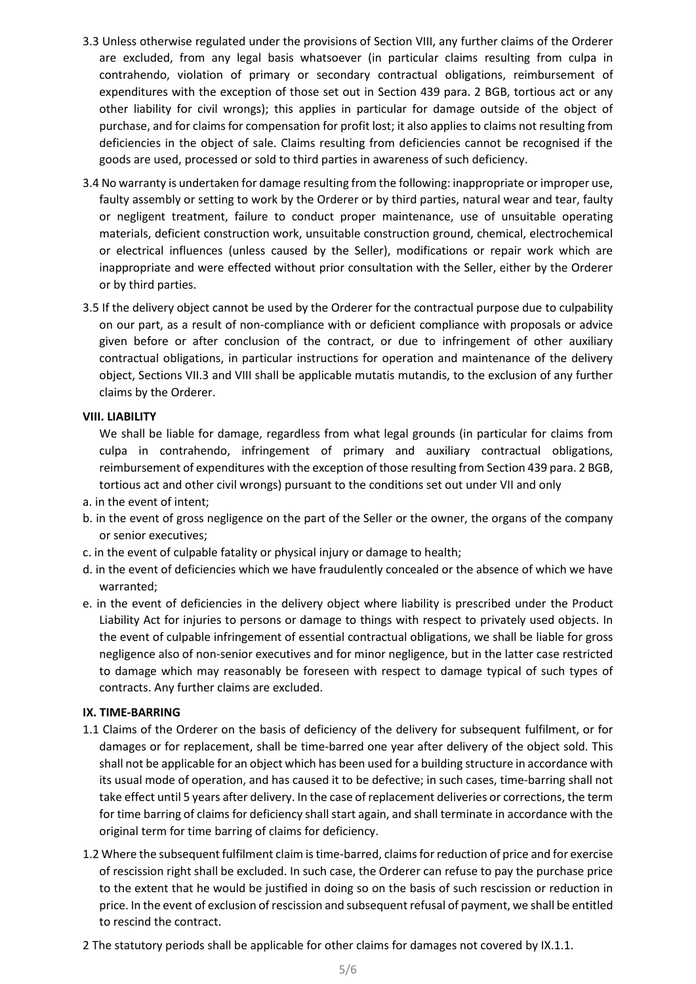- 3.3 Unless otherwise regulated under the provisions of Section VIII, any further claims of the Orderer are excluded, from any legal basis whatsoever (in particular claims resulting from culpa in contrahendo, violation of primary or secondary contractual obligations, reimbursement of expenditures with the exception of those set out in Section 439 para. 2 BGB, tortious act or any other liability for civil wrongs); this applies in particular for damage outside of the object of purchase, and for claims for compensation for profit lost; it also applies to claims not resulting from deficiencies in the object of sale. Claims resulting from deficiencies cannot be recognised if the goods are used, processed or sold to third parties in awareness of such deficiency.
- 3.4 No warranty is undertaken for damage resulting from the following: inappropriate or improper use, faulty assembly or setting to work by the Orderer or by third parties, natural wear and tear, faulty or negligent treatment, failure to conduct proper maintenance, use of unsuitable operating materials, deficient construction work, unsuitable construction ground, chemical, electrochemical or electrical influences (unless caused by the Seller), modifications or repair work which are inappropriate and were effected without prior consultation with the Seller, either by the Orderer or by third parties.
- 3.5 If the delivery object cannot be used by the Orderer for the contractual purpose due to culpability on our part, as a result of non-compliance with or deficient compliance with proposals or advice given before or after conclusion of the contract, or due to infringement of other auxiliary contractual obligations, in particular instructions for operation and maintenance of the delivery object, Sections VII.3 and VIII shall be applicable mutatis mutandis, to the exclusion of any further claims by the Orderer.

## **VIII. LIABILITY**

We shall be liable for damage, regardless from what legal grounds (in particular for claims from culpa in contrahendo, infringement of primary and auxiliary contractual obligations, reimbursement of expenditures with the exception of those resulting from Section 439 para. 2 BGB, tortious act and other civil wrongs) pursuant to the conditions set out under VII and only

- a. in the event of intent;
- b. in the event of gross negligence on the part of the Seller or the owner, the organs of the company or senior executives;
- c. in the event of culpable fatality or physical injury or damage to health;
- d. in the event of deficiencies which we have fraudulently concealed or the absence of which we have warranted;
- e. in the event of deficiencies in the delivery object where liability is prescribed under the Product Liability Act for injuries to persons or damage to things with respect to privately used objects. In the event of culpable infringement of essential contractual obligations, we shall be liable for gross negligence also of non-senior executives and for minor negligence, but in the latter case restricted to damage which may reasonably be foreseen with respect to damage typical of such types of contracts. Any further claims are excluded.

#### **IX. TIME-BARRING**

- 1.1 Claims of the Orderer on the basis of deficiency of the delivery for subsequent fulfilment, or for damages or for replacement, shall be time-barred one year after delivery of the object sold. This shall not be applicable for an object which has been used for a building structure in accordance with its usual mode of operation, and has caused it to be defective; in such cases, time-barring shall not take effect until 5 years after delivery. In the case of replacement deliveries or corrections, the term for time barring of claims for deficiency shall start again, and shall terminate in accordance with the original term for time barring of claims for deficiency.
- 1.2 Where the subsequent fulfilment claim is time-barred, claims for reduction of price and for exercise of rescission right shall be excluded. In such case, the Orderer can refuse to pay the purchase price to the extent that he would be justified in doing so on the basis of such rescission or reduction in price. In the event of exclusion of rescission and subsequent refusal of payment, we shall be entitled to rescind the contract.
- 2 The statutory periods shall be applicable for other claims for damages not covered by IX.1.1.